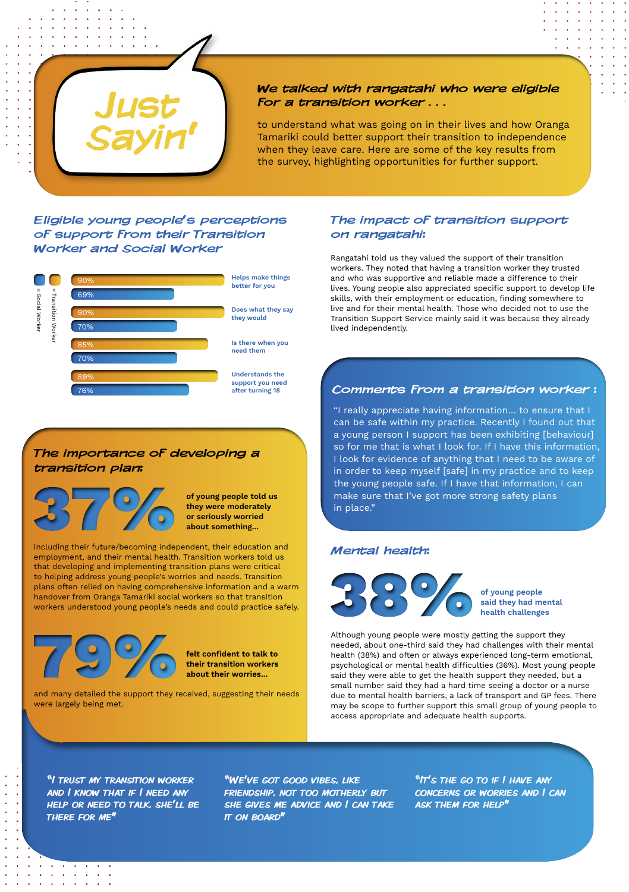

#### We talked with rangatahi who were eligible for a transition worker . . .

to understand what was going on in their lives and how Oranga Tamariki could better support their transition to independence when they leave care. Here are some of the key results from the survey, highlighting opportunities for further support.

# Eligible young people's perceptions of support from their Transition Worker and Social Worker

# The importance of developing a transition plan:



### Mental health:



**"I TRUST MY TRANSITION WORKER** and I know that if I need any help or need to talk, she'll be there for me"

"We've got good vibes, like friendship, not too motherly but she gives me advice and I can take **IT ON BOARD"** 

*Contract Artist Contract Contract Contract Contract Contract Contract Contract Contract Contract Contract Contract Contract Contract Contract Contract Contract Contract Contract Contract Contract Contract Contract Contract Contract Cont*  $\mathcal{A}^{\mathcal{A}}$  , and  $\mathcal{A}^{\mathcal{A}}$  , and  $\mathcal{A}^{\mathcal{A}}$  , and  $\mathcal{A}^{\mathcal{A}}$  , and "It's THE GO TO IF I HAVE ANY concerns or worries and I can ask them for help"

Although young people were mostly getting the support they needed, about one-third said they had challenges with their mental health (38%) and often or always experienced long-term emotional, psychological or mental health difficulties (36%). Most young people said they were able to get the health support they needed, but a small number said they had a hard time seeing a doctor or a nurse due to mental health barriers, a lack of transport and GP fees. There may be scope to further support this small group of young people to access appropriate and adequate health supports.

of young people said they had mental health challenges

# The impact of transition support on rangatahi:

Rangatahi told us they valued the support of their transition workers. They noted that having a transition worker they trusted and who was supportive and reliable made a difference to their lives. Young people also appreciated specific support to develop life skills, with their employment or education, finding somewhere to live and for their mental health. Those who decided not to use the Transition Support Service mainly said it was because they already lived independently.

### Comments from a transition worker :

"I really appreciate having information… to ensure that I can be safe within my practice. Recently I found out that a young person I support has been exhibiting [behaviour] so for me that is what I look for. If I have this information, I look for evidence of anything that I need to be aware of in order to keep myself [safe] in my practice and to keep the young people safe. If I have that information, I can make sure that I've got more strong safety plans in place."

of young people told us they were moderately or seriously worried about something...

felt confident to talk to their transition workers about their worries...



including their future/becoming independent, their education and employment, and their mental health. Transition workers told us that developing and implementing transition plans were critical to helping address young people's worries and needs. Transition plans often relied on having comprehensive information and a warm handover from Oranga Tamariki social workers so that transition workers understood young people's needs and could practice safely.



and many detailed the support they received, suggesting their needs were largely being met.